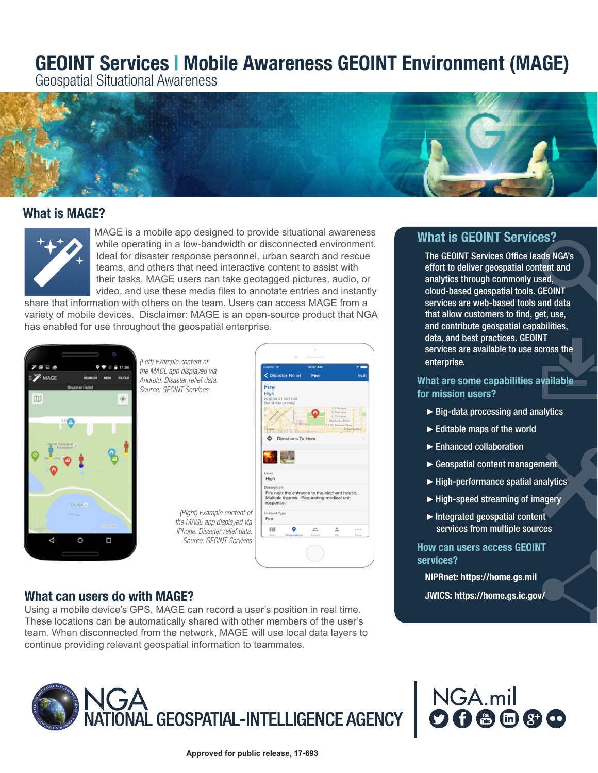# GEOINT Services | Mobile Awareness GEOINT Environment (MAGE)

Geospatial Situational Awareness



## What is MAGE?



MAGE is a mobile app designed to provide situational awareness while operating in a low-bandwidth or disconnected environment. Ideal for disaster response personnel, urban search and rescue teams, and others that need interactive content to assist with their tasks, MAGE users can take geotagged pictures, audio, or video, and use these media files to annotate entries and instantly

share that information with others on the team. Users can access MAGE from a variety of mobile devices. Disclaimer: MAGE is an open-source product that NGA has enabled for use throughout the geospatial enterprise.



*(Left) Example content of the MAGE app displayed via Android. Disaster relief data. Source: GEOINT Services*

| le content of                                            |                                                                                                                         |
|----------------------------------------------------------|-------------------------------------------------------------------------------------------------------------------------|
|                                                          | Carrier <b>空</b><br>10:37 AM                                                                                            |
| pp displayed via<br>aster relief data.                   | ← Disaster Relief<br>Edit<br>Fire                                                                                       |
| <b>INT Services</b>                                      | Fire                                                                                                                    |
|                                                          | <b>High</b><br>2015-08-21 03:17:06<br>Dan Ridley (dridley)                                                              |
|                                                          | E 29th Ave<br>E 26th Ave<br>E 23rd Ave<br>Montview Blvd.<br>E18th A<br>E 17th Avenue Pkwy<br>E Colfax Ave               |
|                                                          | <b>Directions To Here</b>                                                                                               |
|                                                          |                                                                                                                         |
|                                                          | Level                                                                                                                   |
|                                                          | High                                                                                                                    |
|                                                          | Description<br>Fire near the entrance to the elephant house.<br>Multiple injuries. Requesting medical unit<br>response. |
| (Right) Example content of<br>the MAGE app displayed via | Incident Type<br>Fire                                                                                                   |
| iPhone. Disaster relief data.                            | m<br>0.0<br>٠<br>000<br>ò<br>÷                                                                                          |
| Source: GEOINT Services                                  | Map<br>Mo<br>More<br>Observations<br>People                                                                             |
|                                                          |                                                                                                                         |

## What can users do with MAGE? **Shareholder and the Contract Contract Contract Contract Contract Contract Contract Contract Contract Contract Contract Contract Contract Contract Contract Contract Contract Contract Contract C**

Using a mobile device's GPS, MAGE can record a user's position in real time. These locations can be automatically shared with other members of the user's team. When disconnected from the network, MAGE will use local data layers to continue providing relevant geospatial information to teammates.



## What is GEOINT Services?

The GEOINT Services Office leads NGA's effort to deliver geospatial content and analytics through commonly used, cloud-based geospatial tools. GEOINT services are web-based tools and data that allow customers to find, get, use, and contribute geospatial capabilities, data, and best practices. GEOINT services are available to use across the enterprise.

What are some capabilities available for mission users?

- $\triangleright$  Big-data processing and analytics
- ►Editable maps of the world
- ►Enhanced collaboration
- ► Geospatial content management
- $\blacktriangleright$  High-performance spatial analytics
- ► High-speed streaming of imagery
- $\blacktriangleright$  Integrated geospatial content services from multiple sources

#### How can users access GEOINT services?

NIPRnet: https://home.gs.mil

NGA.mil

**9680**